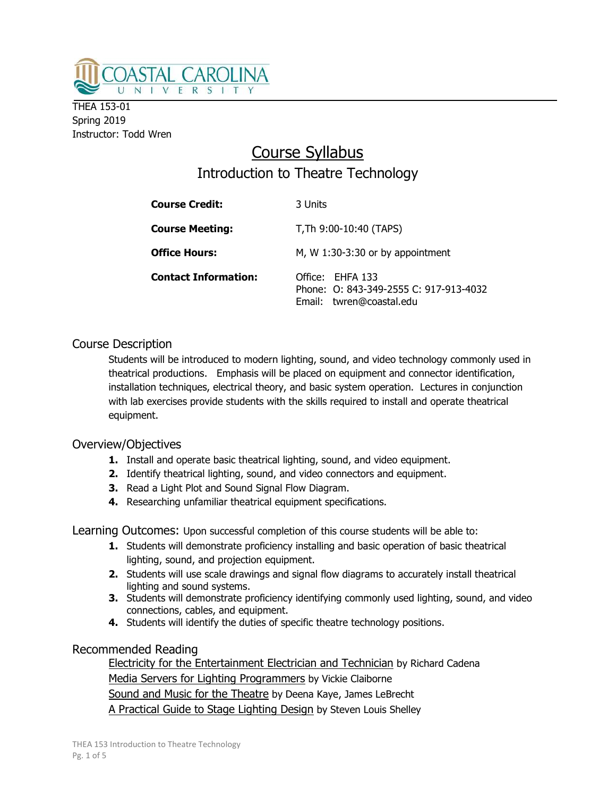

THEA 153-01 Spring 2019 Instructor: Todd Wren

# Course Syllabus Introduction to Theatre Technology

| <b>Course Credit:</b>       | 3 Units                                                                                |
|-----------------------------|----------------------------------------------------------------------------------------|
| <b>Course Meeting:</b>      | T, Th 9:00-10:40 (TAPS)                                                                |
| <b>Office Hours:</b>        | M, W $1:30-3:30$ or by appointment                                                     |
| <b>Contact Information:</b> | Office: EHFA 133<br>Phone: 0: 843-349-2555 C: 917-913-4032<br>Email: twren@coastal.edu |

## Course Description

Students will be introduced to modern lighting, sound, and video technology commonly used in theatrical productions. Emphasis will be placed on equipment and connector identification, installation techniques, electrical theory, and basic system operation. Lectures in conjunction with lab exercises provide students with the skills required to install and operate theatrical equipment.

## Overview/Objectives

- 1. Install and operate basic theatrical lighting, sound, and video equipment.
- 2. Identify theatrical lighting, sound, and video connectors and equipment.
- 3. Read a Light Plot and Sound Signal Flow Diagram.
- 4. Researching unfamiliar theatrical equipment specifications.

Learning Outcomes: Upon successful completion of this course students will be able to:

- 1. Students will demonstrate proficiency installing and basic operation of basic theatrical lighting, sound, and projection equipment.
- 2. Students will use scale drawings and signal flow diagrams to accurately install theatrical lighting and sound systems.
- 3. Students will demonstrate proficiency identifying commonly used lighting, sound, and video connections, cables, and equipment.
- 4. Students will identify the duties of specific theatre technology positions.

## Recommended Reading

 Electricity for the Entertainment Electrician and Technician by Richard Cadena Media Servers for Lighting Programmers by Vickie Claiborne Sound and Music for the Theatre by Deena Kaye, James LeBrecht A Practical Guide to Stage Lighting Design by Steven Louis Shelley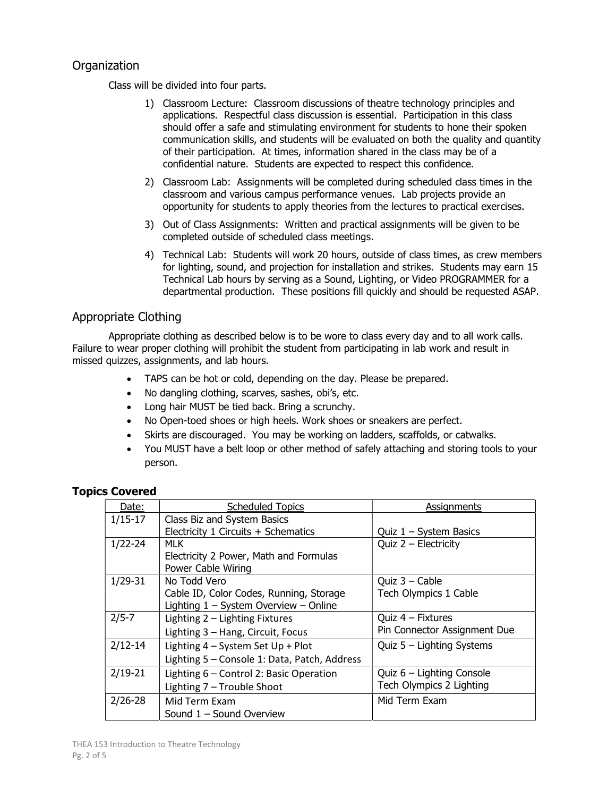## **Organization**

Class will be divided into four parts.

- 1) Classroom Lecture: Classroom discussions of theatre technology principles and applications. Respectful class discussion is essential. Participation in this class should offer a safe and stimulating environment for students to hone their spoken communication skills, and students will be evaluated on both the quality and quantity of their participation. At times, information shared in the class may be of a confidential nature. Students are expected to respect this confidence.
- 2) Classroom Lab: Assignments will be completed during scheduled class times in the classroom and various campus performance venues. Lab projects provide an opportunity for students to apply theories from the lectures to practical exercises.
- 3) Out of Class Assignments: Written and practical assignments will be given to be completed outside of scheduled class meetings.
- 4) Technical Lab: Students will work 20 hours, outside of class times, as crew members for lighting, sound, and projection for installation and strikes. Students may earn 15 Technical Lab hours by serving as a Sound, Lighting, or Video PROGRAMMER for a departmental production. These positions fill quickly and should be requested ASAP.

## Appropriate Clothing

Appropriate clothing as described below is to be wore to class every day and to all work calls. Failure to wear proper clothing will prohibit the student from participating in lab work and result in missed quizzes, assignments, and lab hours.

- TAPS can be hot or cold, depending on the day. Please be prepared.
- No dangling clothing, scarves, sashes, obi's, etc.
- Long hair MUST be tied back. Bring a scrunchy.
- No Open-toed shoes or high heels. Work shoes or sneakers are perfect.
- Skirts are discouraged. You may be working on ladders, scaffolds, or catwalks.
- You MUST have a belt loop or other method of safely attaching and storing tools to your person.

### Topics Covered

| Date:       | <b>Scheduled Topics</b>                      | Assignments                  |
|-------------|----------------------------------------------|------------------------------|
| $1/15-17$   | Class Biz and System Basics                  |                              |
|             | Electricity 1 Circuits + Schematics          | Quiz $1 - System$ Basics     |
| $1/22 - 24$ | MLK.                                         | Quiz $2$ – Electricity       |
|             | Electricity 2 Power, Math and Formulas       |                              |
|             | Power Cable Wiring                           |                              |
| $1/29 - 31$ | No Todd Vero                                 | Quiz $3$ – Cable             |
|             | Cable ID, Color Codes, Running, Storage      | Tech Olympics 1 Cable        |
|             | Lighting $1 - System$ Overview - Online      |                              |
| $2/5 - 7$   | Lighting 2 - Lighting Fixtures               | Quiz $4$ – Fixtures          |
|             | Lighting 3 - Hang, Circuit, Focus            | Pin Connector Assignment Due |
| $2/12 - 14$ | Lighting 4 - System Set Up + Plot            | Quiz $5 -$ Lighting Systems  |
|             | Lighting 5 - Console 1: Data, Patch, Address |                              |
| $2/19 - 21$ | Lighting 6 - Control 2: Basic Operation      | Quiz $6$ – Lighting Console  |
|             | Lighting 7 - Trouble Shoot                   | Tech Olympics 2 Lighting     |
| $2/26 - 28$ | Mid Term Exam                                | Mid Term Exam                |
|             | Sound $1 -$ Sound Overview                   |                              |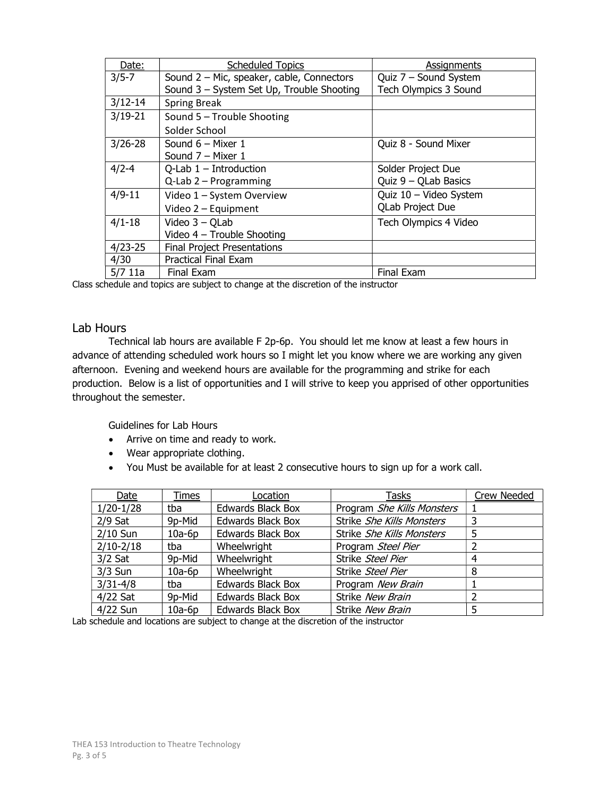| Date:       | <b>Scheduled Topics</b>                   | Assignments                  |
|-------------|-------------------------------------------|------------------------------|
| $3/5 - 7$   | Sound 2 - Mic, speaker, cable, Connectors | Quiz 7 - Sound System        |
|             | Sound 3 - System Set Up, Trouble Shooting | <b>Tech Olympics 3 Sound</b> |
| $3/12 - 14$ | <b>Spring Break</b>                       |                              |
| $3/19 - 21$ | Sound 5 - Trouble Shooting                |                              |
|             | Solder School                             |                              |
| $3/26 - 28$ | Sound $6 -$ Mixer 1                       | Quiz 8 - Sound Mixer         |
|             | Sound $7 -$ Mixer 1                       |                              |
| $4/2 - 4$   | Q-Lab $1$ – Introduction                  | Solder Project Due           |
|             | $Q$ -Lab $2$ – Programming                | Quiz $9 -$ QLab Basics       |
| $4/9 - 11$  | Video 1 - System Overview                 | Quiz 10 - Video System       |
|             | Video 2 - Equipment                       | <b>QLab Project Due</b>      |
| $4/1 - 18$  | Video $3 - Q$ Lab                         | Tech Olympics 4 Video        |
|             | Video $4$ – Trouble Shooting              |                              |
| $4/23 - 25$ | <b>Final Project Presentations</b>        |                              |
| 4/30        | <b>Practical Final Exam</b>               |                              |
| 5/711a      | Final Exam                                | Final Exam                   |

Class schedule and topics are subject to change at the discretion of the instructor

#### Lab Hours

 Technical lab hours are available F 2p-6p. You should let me know at least a few hours in advance of attending scheduled work hours so I might let you know where we are working any given afternoon. Evening and weekend hours are available for the programming and strike for each production. Below is a list of opportunities and I will strive to keep you apprised of other opportunities throughout the semester.

Guidelines for Lab Hours

- Arrive on time and ready to work.
- Wear appropriate clothing.
- You Must be available for at least 2 consecutive hours to sign up for a work call.

| Date          | Times    | Location                 | <b>Tasks</b>               | Crew Needed |
|---------------|----------|--------------------------|----------------------------|-------------|
| $1/20-1/28$   | tba      | Edwards Black Box        | Program She Kills Monsters |             |
| $2/9$ Sat     | 9p-Mid   | <b>Edwards Black Box</b> | Strike She Kills Monsters  | 3           |
| 2/10 Sun      | $10a-6p$ | <b>Edwards Black Box</b> | Strike She Kills Monsters  | 5           |
| $2/10 - 2/18$ | tba      | Wheelwright              | Program Steel Pier         |             |
| $3/2$ Sat     | 9p-Mid   | Wheelwright              | Strike Steel Pier          | 4           |
| $3/3$ Sun     | $10a-6p$ | Wheelwright              | Strike Steel Pier          | 8           |
| $3/31 - 4/8$  | tba      | <b>Edwards Black Box</b> | Program New Brain          |             |
| $4/22$ Sat    | 9p-Mid   | <b>Edwards Black Box</b> | Strike New Brain           |             |
| 4/22 Sun      | $10a-6p$ | Edwards Black Box        | Strike New Brain           |             |

Lab schedule and locations are subject to change at the discretion of the instructor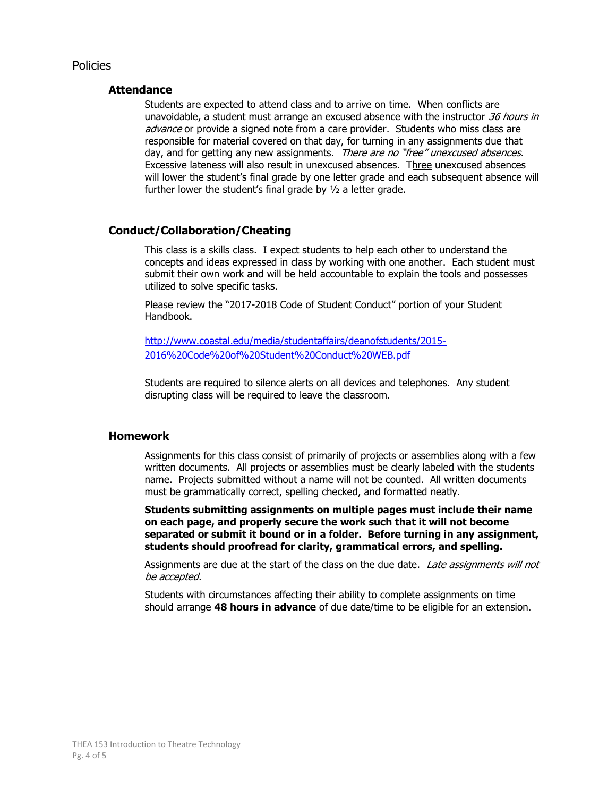#### Policies

#### **Attendance**

Students are expected to attend class and to arrive on time. When conflicts are unavoidable, a student must arrange an excused absence with the instructor 36 hours in advance or provide a signed note from a care provider. Students who miss class are responsible for material covered on that day, for turning in any assignments due that day, and for getting any new assignments. There are no "free" unexcused absences. Excessive lateness will also result in unexcused absences. Three unexcused absences will lower the student's final grade by one letter grade and each subsequent absence will further lower the student's final grade by ½ a letter grade.

#### Conduct/Collaboration/Cheating

This class is a skills class. I expect students to help each other to understand the concepts and ideas expressed in class by working with one another. Each student must submit their own work and will be held accountable to explain the tools and possesses utilized to solve specific tasks.

Please review the "2017-2018 Code of Student Conduct" portion of your Student Handbook.

http://www.coastal.edu/media/studentaffairs/deanofstudents/2015- 2016%20Code%20of%20Student%20Conduct%20WEB.pdf

Students are required to silence alerts on all devices and telephones. Any student disrupting class will be required to leave the classroom.

#### Homework

Assignments for this class consist of primarily of projects or assemblies along with a few written documents. All projects or assemblies must be clearly labeled with the students name. Projects submitted without a name will not be counted. All written documents must be grammatically correct, spelling checked, and formatted neatly.

Students submitting assignments on multiple pages must include their name on each page, and properly secure the work such that it will not become separated or submit it bound or in a folder. Before turning in any assignment, students should proofread for clarity, grammatical errors, and spelling.

Assignments are due at the start of the class on the due date. Late assignments will not be accepted.

Students with circumstances affecting their ability to complete assignments on time should arrange 48 hours in advance of due date/time to be eligible for an extension.